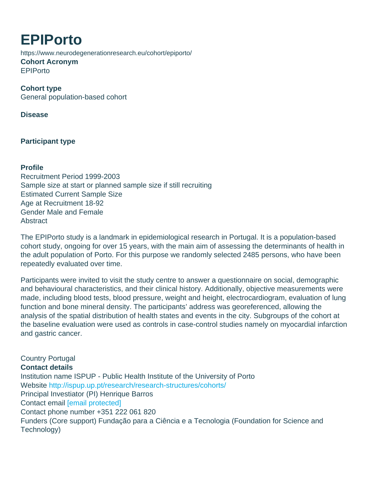## EPIPorto https://www.neurodegenerationresearch.eu/cohort/epiporto/ Cohort Acronym EPIPorto

Cohort type General population-based cohort

Disease

Participant type

**Profile** Recruitment Period 1999-2003 Sample size at start or planned sample size if still recruiting Estimated Current Sample Size Age at Recruitment 18-92 Gender Male and Female **Abstract** 

The EPIPorto study is a landmark in epidemiological research in Portugal. It is a population-based cohort study, ongoing for over 15 years, with the main aim of assessing the determinants of health in the adult population of Porto. For this purpose we randomly selected 2485 persons, who have been repeatedly evaluated over time.

Participants were invited to visit the study centre to answer a questionnaire on social, demographic and behavioural characteristics, and their clinical history. Additionally, objective measurements were made, including blood tests, blood pressure, weight and height, electrocardiogram, evaluation of lung function and bone mineral density. The participants' address was georeferenced, allowing the analysis of the spatial distribution of health states and events in the city. Subgroups of the cohort at the baseline evaluation were used as controls in case-control studies namely on myocardial infarction and gastric cancer.

Country Portugal Contact details Institution name ISPUP - Public Health Institute of the University of Porto Website <http://ispup.up.pt/research/research-structures/cohorts/> Principal Investiator (PI) Henrique Barros Contact email [\[email protected\]](/cdn-cgi/l/email-protection#c2e2aaa0a3b0b0adb182afa7a6ecb7b2ecb2b6) Contact phone number +351 222 061 820 Funders (Core support) Fundação para a Ciência e a Tecnologia (Foundation for Science and Technology)